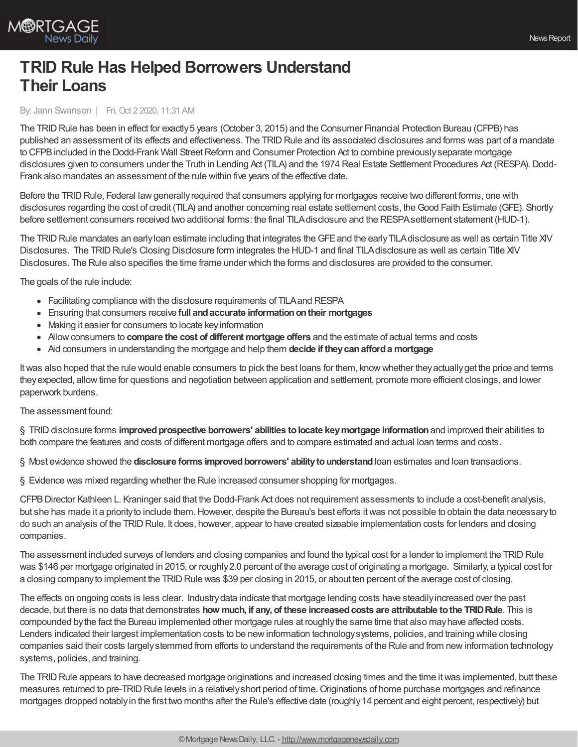

## **TRID Rule Has Helped Borrowers Understand Their Loans**

## By: Jann Swanson | Fri, Oct 2 2020, 11:31 AM

The TRID Rule has been in effect for exactly 5 years (October 3, 2015) and the Consumer Financial Protection Bureau (CFPB) has published an assessment of its effects and effectiveness. The TRID Rule and its associated disclosures and forms was part of a mandate to CFPB included in the Dodd-Frank Wall Street Reform and Consumer Protection Act to combine previously separate mortgage disclosures given to consumers under the Truth in Lending Act (TILA) and the 1974 Real Estate Settlement Procedures Act (RESPA). Dodd-Frank also mandates an assessment of the rule within five years of the effective date.

Before the TRID Rule, Federal law generally required that consumers applying for mortgages receive two different forms, one with disclosures regarding the cost of credit (TILA) and another concerning real estate settlement costs, theGood Faith Estimate (GFE). Shortly before settlement consumers received two additional forms: the final TILAdisclosure and the RESPAsettlement statement (HUD-1).

The TRID Rule mandates an early loan estimate including that integrates the GFE and the early TILA disclosure as well as certain Title XIV Disclosures. The TRID Rule's Closing Disclosure form integrates the HUD-1 and final TILA disclosure as well as certain Title XIV Disclosures. The Rule also specifies the time frame under which the forms and disclosures are provided to the consumer.

The goals of the rule include:

- Facilitating compliance with the disclosure requirements of TILAand RESPA
- Ensuring that consumers receive **full andaccurate informationontheir mortgages**
- Making it easier for consumers to locate keyinformation
- Allowconsumers to **compare the cost of different mortgage offers** and the estimate of actual terms and costs
- Aid consumers in understanding the mortgage and help them **decide if theycanafforda mortgage**

It was also hoped that the rule would enable consumers to pick the best loans for them, know whether they actually get the price and terms theyexpected, allowtime for questions and negotiation between application and settlement, promote more efficient closings, and lower paperwork burdens.

## The assessment found:

§ TRIDdisclosure forms **improvedprospective borrowers' abilities tolocate keymortgage information**and improved their abilities to both compare the features and costs of different mortgage offers and to compare estimated and actual loan terms and costs.

§ Most evidence showed the **disclosure forms improvedborrowers' abilitytounderstand**loan estimates and loan transactions.

§ Evidence was mixed regarding whether the Rule increased consumer shopping for mortgages.

CFPBDirector Kathleen L. Kraninger said that the Dodd-Frank Act does not requirement assessments to include a cost-benefit analysis, but she has made it a priorityto include them.However, despite the Bureau's best efforts itwas not possible to obtain the data necessaryto do such an analysis of the TRID Rule. It does, however, appear to have created sizeable implementation costs for lenders and closing companies.

The assessment included surveys of lenders and closing companies and found the typical cost for a lender to implement the TRID Rule was \$146 per mortgage originated in 2015, or roughly2.0 percent of the average cost of originating a mortgage. Similarly, a typical cost for a closing company to implement the TRID Rule was \$39 per closing in 2015, or about ten percent of the average cost of closing.

The effects on ongoing costs is less clear. Industrydata indicate that mortgage lending costs have steadilyincreased over the past decade, but there is no data that demonstrates **how much, if any, of these increasedcosts are attributable tothe TRIDRule**. This is compounded bythe fact the Bureau implemented other mortgage rules at roughlythe same time that also mayhave affected costs. Lenders indicated their largest implementation costs to be newinformation technologysystems, policies, and training while closing companies said their costs largelystemmed from efforts to understand the requirements of the Rule and from newinformation technology systems, policies, and training.

The TRID Rule appears to have decreased mortgage originations and increased closing times and the time it was implemented, butt these measures returned to pre-TRID Rule levels in a relatively short period of time. Originations of home purchase mortgages and refinance mortgages dropped notablyin the first two months after the Rule's effective date (roughly14 percent and eight percent, respectively) but